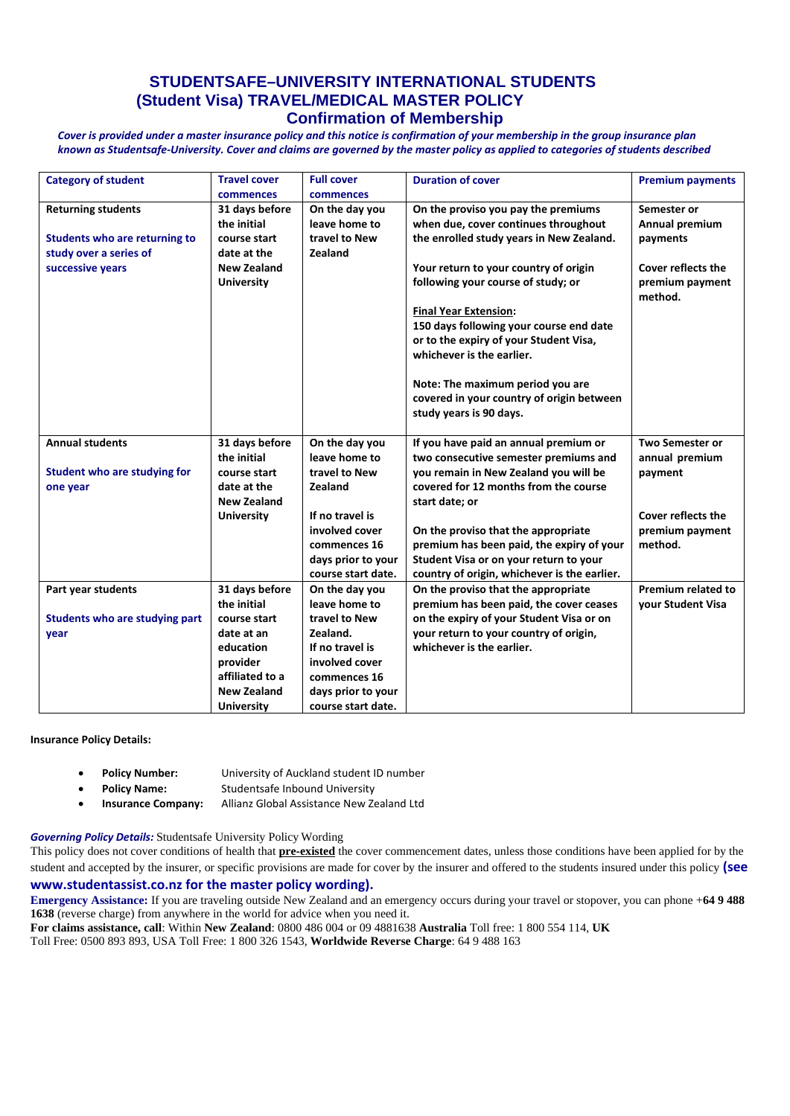## **STUDENTSAFE–UNIVERSITY INTERNATIONAL STUDENTS (Student Visa) TRAVEL/MEDICAL MASTER POLICY Confirmation of Membership**

*Cover is provided under a master insurance policy and this notice is confirmation of your membership in the group insurance plan known as Studentsafe-University. Cover and claims are governed by the master policy as applied to categories of students described*

| <b>Category of student</b>     | <b>Travel cover</b> | <b>Full cover</b>  | <b>Duration of cover</b>                     | <b>Premium payments</b>    |
|--------------------------------|---------------------|--------------------|----------------------------------------------|----------------------------|
|                                | commences           | commences          |                                              |                            |
| <b>Returning students</b>      | 31 days before      | On the day you     | On the proviso you pay the premiums          | Semester or                |
|                                | the initial         | leave home to      | when due, cover continues throughout         | Annual premium             |
| Students who are returning to  | course start        | travel to New      | the enrolled study years in New Zealand.     | payments                   |
| study over a series of         | date at the         | Zealand            |                                              |                            |
| successive years               | New Zealand         |                    | Your return to your country of origin        | <b>Cover reflects the</b>  |
|                                | <b>University</b>   |                    | following your course of study; or           | premium payment<br>method. |
|                                |                     |                    | <b>Final Year Extension:</b>                 |                            |
|                                |                     |                    | 150 days following your course end date      |                            |
|                                |                     |                    | or to the expiry of your Student Visa,       |                            |
|                                |                     |                    | whichever is the earlier.                    |                            |
|                                |                     |                    |                                              |                            |
|                                |                     |                    | Note: The maximum period you are             |                            |
|                                |                     |                    | covered in your country of origin between    |                            |
|                                |                     |                    | study years is 90 days.                      |                            |
| <b>Annual students</b>         | 31 days before      | On the day you     | If you have paid an annual premium or        | <b>Two Semester or</b>     |
|                                | the initial         | leave home to      | two consecutive semester premiums and        | annual premium             |
| Student who are studying for   | course start        | travel to New      | you remain in New Zealand you will be        | payment                    |
| one year                       | date at the         | Zealand            | covered for 12 months from the course        |                            |
|                                | <b>New Zealand</b>  |                    | start date; or                               |                            |
|                                | <b>University</b>   | If no travel is    |                                              | <b>Cover reflects the</b>  |
|                                |                     | involved cover     | On the proviso that the appropriate          | premium payment            |
|                                |                     | commences 16       | premium has been paid, the expiry of your    | method.                    |
|                                |                     | days prior to your | Student Visa or on your return to your       |                            |
|                                |                     | course start date. | country of origin, whichever is the earlier. |                            |
| Part year students             | 31 days before      | On the day you     | On the proviso that the appropriate          | Premium related to         |
|                                | the initial         | leave home to      | premium has been paid, the cover ceases      | vour Student Visa          |
| Students who are studying part | course start        | travel to New      | on the expiry of your Student Visa or on     |                            |
| year                           | date at an          | Zealand.           | your return to your country of origin,       |                            |
|                                | education           | If no travel is    | whichever is the earlier.                    |                            |
|                                | provider            | involved cover     |                                              |                            |
|                                | affiliated to a     | commences 16       |                                              |                            |
|                                | <b>New Zealand</b>  | days prior to your |                                              |                            |
|                                | <b>University</b>   | course start date. |                                              |                            |

## **Insurance Policy Details:**

- **Policy Number:** University of Auckland student ID number
- **Policy Name:** Studentsafe Inbound University
- **Insurance Company:** Allianz Global Assistance New Zealand Ltd

## *Governing Policy Details:* Studentsafe University Policy Wording

This policy does not cover conditions of health that **pre-existed** the cover commencement dates, unless those conditions have been applied for by the student and accepted by the insurer, or specific provisions are made for cover by the insurer and offered to the students insured under this policy **(see [www.studentassist.co.nz](http://www.studentassist.co.nz/) for the master policy wording).**

**Emergency Assistance:** If you are traveling outside New Zealand and an emergency occurs during your travel or stopover, you can phone +**64 9 488 1638** (reverse charge) from anywhere in the world for advice when you need it. **For claims assistance, call**: Within **New Zealand**: 0800 486 004 or 09 4881638 **Australia** Toll free: 1 800 554 114, **UK**

Toll Free: 0500 893 893, USA Toll Free: 1 800 326 1543, **Worldwide Reverse Charge**: 64 9 488 163